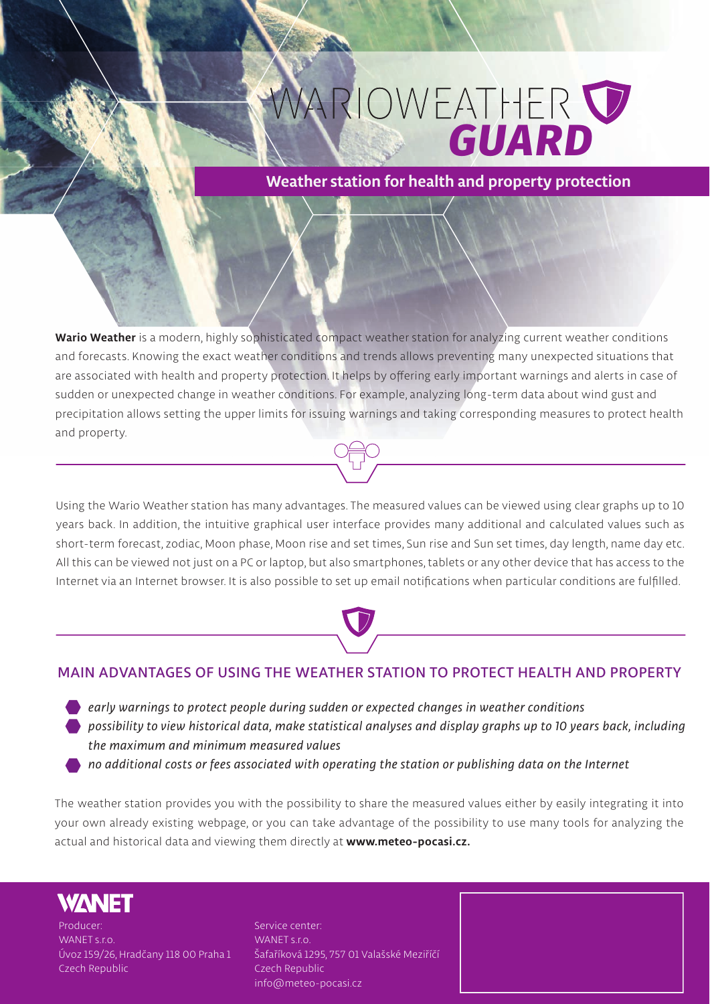# **ARIOWEATHER**

**Weather station for health and property protection**

**Wario Weather is a modern, highly sophisticated compact weather station for analyzing current weather conditions and forecasts. Knowing the exact weather conditions and trends allows preventing many unexpected situations that are associated with health and property protection. It helps by offering early important warnings and alerts in case of sudden or unexpected change in weather conditions. For example, analyzing long-term data about wind gust and precipitation allows setting the upper limits for issuing warnings and taking corresponding measures to protect health and property.** 

**Using the Wario Weather station has many advantages. The measured values can be viewed using clear graphs up to 10 years back. In addition, the intuitive graphical user interface provides many additional and calculated values such as short-term forecast, zodiac, Moon phase, Moon rise and set times, Sun rise and Sun set times, day length, name day etc. All this can be viewed not just on a PC or laptop, but also smartphones, tablets or any other device that has access to the Internet via an Internet browser. It is also possible to set up email notifications when particular conditions are fulfilled.** 

### **MAIN ADVANTAGES OF USING THE WEATHER STATION TO PROTECT HEALTH AND PROPERTY**

*early warnings to protect people during sudden or expected changes in weather conditions possibility to view historical data, make statistical analyses and display graphs up to 10 years back, including the maximum and minimum measured values*

*no additional costs or fees associated with operating the station or publishing data on the Internet*

**The weather station provides you with the possibility to share the measured values either by easily integrating it into your own already existing webpage, or you can take advantage of the possibility to use many tools for analyzing the actual and historical data and viewing them directly at www.meteo-pocasi.cz.**

## **WANET**

**Producer: WANET s.r.o. Úvoz 159/26, Hradčany 118 00 Praha 1 Czech Republic**

**Service center: WANET s.r.o. Šafaříková 1295, 757 01 Valašské Meziříčí Czech Republic info@meteo-pocasi.cz**